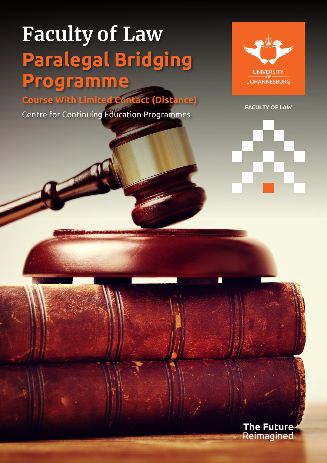# **Faculty of Law Paralegal Bridging Programme**

**Course With Limited Contact (Distance)** 

Centre for Continuing Education Programmes



**FACULTY OF LAW**

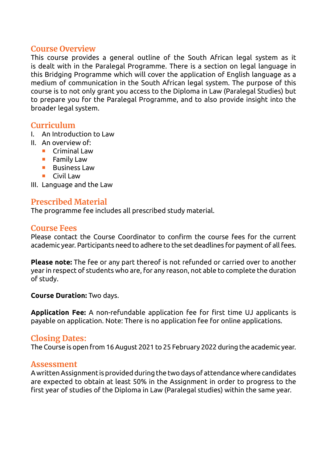#### **Course Overview**

This course provides a general outline of the South African legal system as it is dealt with in the Paralegal Programme. There is a section on legal language in this Bridging Programme which will cover the application of English language as a medium of communication in the South African legal system. The purpose of this course is to not only grant you access to the Diploma in Law (Paralegal Studies) but to prepare you for the Paralegal Programme, and to also provide insight into the broader legal system.

#### **Curriculum**

- I. An Introduction to Law
- II. An overview of:
	- **Criminal Law** 
		- $\blacksquare$  Family Law
		- **Business Law**
		- $\blacksquare$  Civil Law

III. Language and the Law

#### **Prescribed Material**

The programme fee includes all prescribed study material.

#### **Course Fees**

Please contact the Course Coordinator to confirm the course fees for the current academic year. Participants need to adhere to the set deadlines for payment of all fees.

**Please note:** The fee or any part thereof is not refunded or carried over to another year in respect of students who are, for any reason, not able to complete the duration of study.

#### **Course Duration:** Two days.

**Application Fee:** A non-refundable application fee for first time UJ applicants is payable on application. Note: There is no application fee for online applications.

#### **Closing Dates:**

The Course is open from 16 August 2021 to 25 February 2022 during the academic year.

#### **Assessment**

A written Assignment is provided during the two days of attendance where candidates are expected to obtain at least 50% in the Assignment in order to progress to the first year of studies of the Diploma in Law (Paralegal studies) within the same year.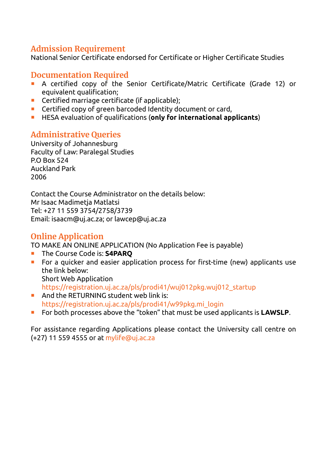## **Admission Requirement**

National Senior Certificate endorsed for Certificate or Higher Certificate Studies

### **Documentation Required**

- A certified copy of the Senior Certificate/Matric Certificate (Grade 12) or equivalent qualification;
- **Certified marriage certificate (if applicable):**
- **EXECTED** Certified copy of green barcoded Identity document or card,
- HESA evaluation of qualifications (**only for international applicants**)

## **Administrative Queries**

University of Johannesburg Faculty of Law: Paralegal Studies P.O Box 524 Auckland Park 2006

Contact the Course Administrator on the details below: Mr Isaac Madimetja Matlatsi Tel: +27 11 559 3754/2758/3739 Email: [isaacm@uj.ac.za](mailto:isaacm@uj.ac.za); or [lawcep@uj.ac.za](mailto:lawcep@uj.ac.za)

## **Online Application**

TO MAKE AN ONLINE APPLICATION (No Application Fee is payable)

- **The Course Code is: S4PARO**
- **For a quicker and easier application process for first-time (new) applicants use** the link below: Short Web Application [https://registration.uj.ac.za/pls/prodi41/wuj012pkg.wuj012\\_startup](https://registration.uj.ac.za/pls/prodi41/wuj012pkg.wuj012_startup)
- And the RETURNING student web link is: [https://registration.uj.ac.za/pls/prodi41/w99pkg.mi\\_login](https://registration.uj.ac.za/pls/prodi41/w99pkg.mi_login)
- For both processes above the "token" that must be used applicants is **LAWSLP**.

For assistance regarding Applications please contact the University call centre on (+27) 11 559 4555 or at [mylife@uj.ac.za](mailto:mylife@uj.ac.za)